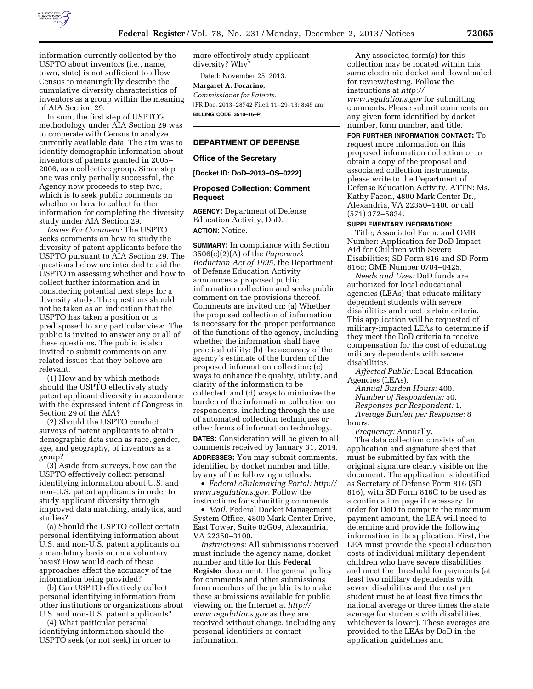

information currently collected by the USPTO about inventors (i.e., name, town, state) is not sufficient to allow Census to meaningfully describe the cumulative diversity characteristics of inventors as a group within the meaning of AIA Section 29.

In sum, the first step of USPTO's methodology under AIA Section 29 was to cooperate with Census to analyze currently available data. The aim was to identify demographic information about inventors of patents granted in 2005– 2006, as a collective group. Since step one was only partially successful, the Agency now proceeds to step two, which is to seek public comments on whether or how to collect further information for completing the diversity study under AIA Section 29.

*Issues For Comment:* The USPTO seeks comments on how to study the diversity of patent applicants before the USPTO pursuant to AIA Section 29. The questions below are intended to aid the USPTO in assessing whether and how to collect further information and in considering potential next steps for a diversity study. The questions should not be taken as an indication that the USPTO has taken a position or is predisposed to any particular view. The public is invited to answer any or all of these questions. The public is also invited to submit comments on any related issues that they believe are relevant.

(1) How and by which methods should the USPTO effectively study patent applicant diversity in accordance with the expressed intent of Congress in Section 29 of the AIA?

(2) Should the USPTO conduct surveys of patent applicants to obtain demographic data such as race, gender, age, and geography, of inventors as a group?

(3) Aside from surveys, how can the USPTO effectively collect personal identifying information about U.S. and non-U.S. patent applicants in order to study applicant diversity through improved data matching, analytics, and studies?

(a) Should the USPTO collect certain personal identifying information about U.S. and non-U.S. patent applicants on a mandatory basis or on a voluntary basis? How would each of these approaches affect the accuracy of the information being provided?

(b) Can USPTO effectively collect personal identifying information from other institutions or organizations about U.S. and non-U.S. patent applicants?

(4) What particular personal identifying information should the USPTO seek (or not seek) in order to more effectively study applicant diversity? Why?

Dated: November 25, 2013.

**Margaret A. Focarino,**  *Commissioner for Patents.*  [FR Doc. 2013–28742 Filed 11–29–13; 8:45 am] **BILLING CODE 3510–16–P** 

### **DEPARTMENT OF DEFENSE**

#### **Office of the Secretary**

**[Docket ID: DoD–2013–OS–0222]** 

### **Proposed Collection; Comment Request**

**AGENCY:** Department of Defense Education Activity, DoD. **ACTION:** Notice.

**SUMMARY:** In compliance with Section 3506(c)(2)(A) of the *Paperwork Reduction Act of 1995,* the Department of Defense Education Activity announces a proposed public information collection and seeks public comment on the provisions thereof. Comments are invited on: (a) Whether the proposed collection of information is necessary for the proper performance of the functions of the agency, including whether the information shall have practical utility; (b) the accuracy of the agency's estimate of the burden of the proposed information collection; (c) ways to enhance the quality, utility, and clarity of the information to be collected; and (d) ways to minimize the burden of the information collection on respondents, including through the use of automated collection techniques or other forms of information technology.

**DATES:** Consideration will be given to all comments received by January 31, 2014. **ADDRESSES:** You may submit comments, identified by docket number and title, by any of the following methods:

• *Federal eRulemaking Portal: [http://](http://www.regulations.gov)  [www.regulations.gov.](http://www.regulations.gov)* Follow the instructions for submitting comments.

• *Mail:* Federal Docket Management System Office, 4800 Mark Center Drive, East Tower, Suite 02G09, Alexandria, VA 22350–3100.

*Instructions:* All submissions received must include the agency name, docket number and title for this **Federal Register** document. The general policy for comments and other submissions from members of the public is to make these submissions available for public viewing on the Internet at *[http://](http://www.regulations.gov) [www.regulations.gov](http://www.regulations.gov)* as they are received without change, including any personal identifiers or contact information.

Any associated form(s) for this collection may be located within this same electronic docket and downloaded for review/testing. Follow the instructions at *[http://](http://www.regulations.gov) [www.regulations.gov](http://www.regulations.gov)* for submitting comments. Please submit comments on any given form identified by docket number, form number, and title.

**FOR FURTHER INFORMATION CONTACT:** To request more information on this proposed information collection or to obtain a copy of the proposal and associated collection instruments, please write to the Department of Defense Education Activity, ATTN: Ms. Kathy Facon, 4800 Mark Center Dr., Alexandria, VA 22350–1400 or call (571) 372–5834.

#### **SUPPLEMENTARY INFORMATION:**

Title; Associated Form; and OMB Number: Application for DoD Impact Aid for Children with Severe Disabilities; SD Form 816 and SD Form 816c; OMB Number 0704–0425.

*Needs and Uses:* DoD funds are authorized for local educational agencies (LEAs) that educate military dependent students with severe disabilities and meet certain criteria. This application will be requested of military-impacted LEAs to determine if they meet the DoD criteria to receive compensation for the cost of educating military dependents with severe disabilities.

*Affected Public:* Local Education Agencies (LEAs).

*Annual Burden Hours:* 400. *Number of Respondents:* 50. *Responses per Respondent:* 1. *Average Burden per Response:* 8 hours.

*Frequency:* Annually.

The data collection consists of an application and signature sheet that must be submitted by fax with the original signature clearly visible on the document. The application is identified as Secretary of Defense Form 816 (SD 816), with SD Form 816C to be used as a continuation page if necessary. In order for DoD to compute the maximum payment amount, the LEA will need to determine and provide the following information in its application. First, the LEA must provide the special education costs of individual military dependent children who have severe disabilities and meet the threshold for payments (at least two military dependents with severe disabilities and the cost per student must be at least five times the national average or three times the state average for students with disabilities, whichever is lower). These averages are provided to the LEAs by DoD in the application guidelines and